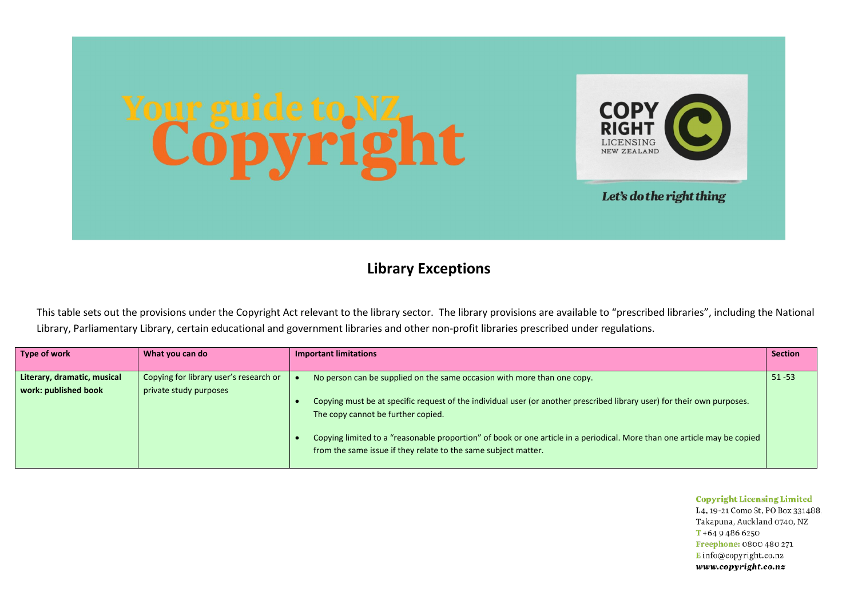

## **Library Exceptions**

This table sets out the provisions under the Copyright Act relevant to the library sector. The library provisions are available to "prescribed libraries", including the National Library, Parliamentary Library, certain educational and government libraries and other non-profit libraries prescribed under regulations.

| Type of work                | What you can do                        | <b>Important limitations</b>                                                                                             | <b>Section</b> |
|-----------------------------|----------------------------------------|--------------------------------------------------------------------------------------------------------------------------|----------------|
|                             |                                        |                                                                                                                          |                |
| Literary, dramatic, musical | Copying for library user's research or | No person can be supplied on the same occasion with more than one copy.                                                  | $51 - 53$      |
| work: published book        | private study purposes                 |                                                                                                                          |                |
|                             |                                        | Copying must be at specific request of the individual user (or another prescribed library user) for their own purposes.  |                |
|                             |                                        | The copy cannot be further copied.                                                                                       |                |
|                             |                                        |                                                                                                                          |                |
|                             |                                        | Copying limited to a "reasonable proportion" of book or one article in a periodical. More than one article may be copied |                |
|                             |                                        | from the same issue if they relate to the same subject matter.                                                           |                |
|                             |                                        |                                                                                                                          |                |

**Copyright Licensing Limited** 

L4, 19-21 Como St, PO Box 331488. Takapuna, Auckland 0740, NZ  $T + 6494866250$ Freephone: 0800 480 271  $E$  info@copyright.co.nz www.copyright.co.nz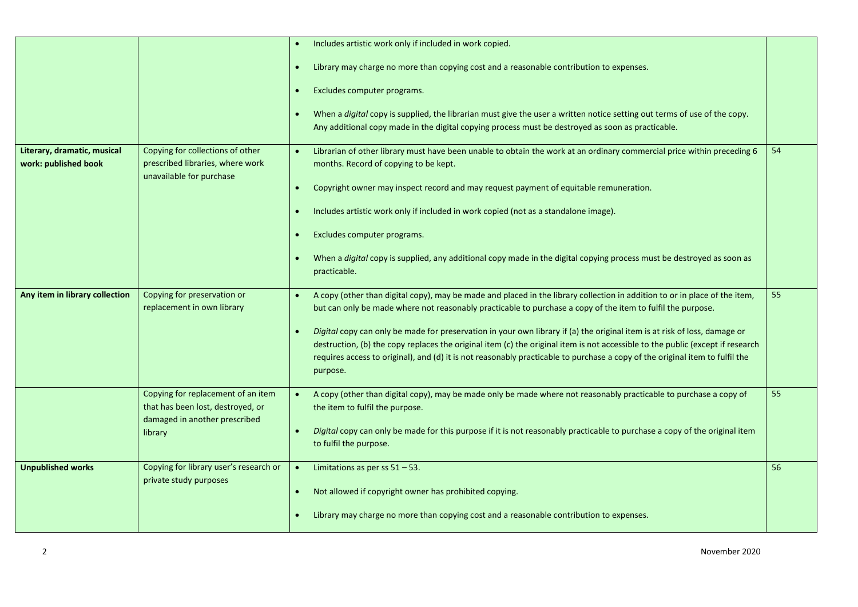|                                                     |                                                                                                                     | Includes artistic work only if included in work copied.<br>$\bullet$<br>Library may charge no more than copying cost and a reasonable contribution to expenses.<br>Excludes computer programs.<br>When a digital copy is supplied, the librarian must give the user a written notice setting out terms of use of the copy.<br>Any additional copy made in the digital copying process must be destroyed as soon as practicable.                                                                                                                                                                                                                      |    |
|-----------------------------------------------------|---------------------------------------------------------------------------------------------------------------------|------------------------------------------------------------------------------------------------------------------------------------------------------------------------------------------------------------------------------------------------------------------------------------------------------------------------------------------------------------------------------------------------------------------------------------------------------------------------------------------------------------------------------------------------------------------------------------------------------------------------------------------------------|----|
| Literary, dramatic, musical<br>work: published book | Copying for collections of other<br>prescribed libraries, where work<br>unavailable for purchase                    | Librarian of other library must have been unable to obtain the work at an ordinary commercial price within preceding 6<br>months. Record of copying to be kept.<br>Copyright owner may inspect record and may request payment of equitable remuneration.<br>$\bullet$<br>Includes artistic work only if included in work copied (not as a standalone image).<br>Excludes computer programs.<br>When a digital copy is supplied, any additional copy made in the digital copying process must be destroyed as soon as<br>practicable.                                                                                                                 | 54 |
| Any item in library collection                      | Copying for preservation or<br>replacement in own library                                                           | A copy (other than digital copy), may be made and placed in the library collection in addition to or in place of the item,<br>but can only be made where not reasonably practicable to purchase a copy of the item to fulfil the purpose.<br>Digital copy can only be made for preservation in your own library if (a) the original item is at risk of loss, damage or<br>destruction, (b) the copy replaces the original item (c) the original item is not accessible to the public (except if research<br>requires access to original), and (d) it is not reasonably practicable to purchase a copy of the original item to fulfil the<br>purpose. | 55 |
|                                                     | Copying for replacement of an item<br>that has been lost, destroyed, or<br>damaged in another prescribed<br>library | A copy (other than digital copy), may be made only be made where not reasonably practicable to purchase a copy of<br>the item to fulfil the purpose.<br>Digital copy can only be made for this purpose if it is not reasonably practicable to purchase a copy of the original item<br>to fulfil the purpose.                                                                                                                                                                                                                                                                                                                                         | 55 |
| <b>Unpublished works</b>                            | Copying for library user's research or<br>private study purposes                                                    | Limitations as per ss $51 - 53$ .<br>$\bullet$<br>Not allowed if copyright owner has prohibited copying.<br>$\bullet$<br>Library may charge no more than copying cost and a reasonable contribution to expenses.                                                                                                                                                                                                                                                                                                                                                                                                                                     | 56 |